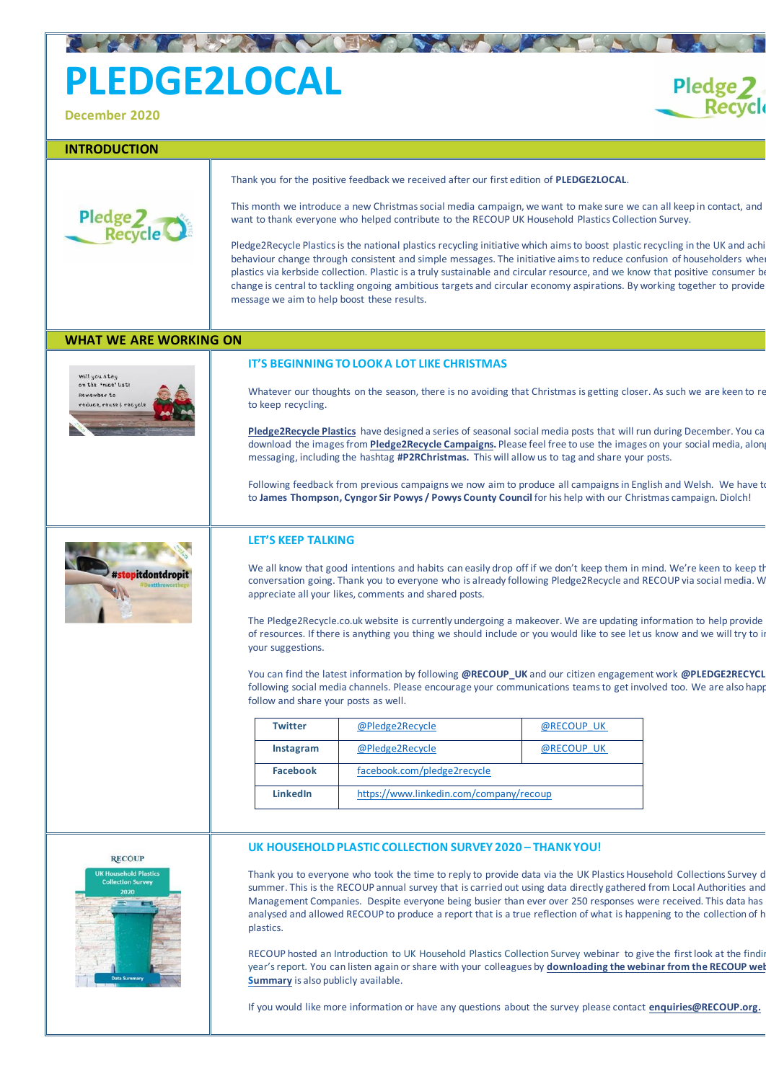# **PLEDGE2LOCAL**

**December 2020**

## **INTRODUCTION**



Thank you for the positive feedback we received after our first edition of **PLEDGE2LOCAL**.

This month we introduce a new Christmas social media campaign, we want to make sure we can all keep in contact, and want to thank everyone who helped contribute to the RECOUP UK Household Plastics Collection Survey.

Pledge 2<br>Recycle

Pledge2Recycle Plastics is the national plastics recycling initiative which aims to boost plastic recycling in the UK and achi behaviour change through consistent and simple messages. The initiative aims to reduce confusion of householders whe plastics via kerbside collection. Plastic is a truly sustainable and circular resource, and we know that positive consumer be change is central to tackling ongoing ambitious targets and circular economy aspirations. By working together to provide message we aim to help boost these results.

Following feedback from previous campaigns we now aim to produce all campaigns in English and Welsh. We have to to **James Thompson, Cyngor Sir Powys / Powys County Council** for his help with our Christmas campaign. Diolch!



# **WHAT WE ARE WORKING ON**



### **IT'S BEGINNING TO LOOK A LOT LIKE CHRISTMAS**

Whatever our thoughts on the season, there is no avoiding that Christmas is getting closer. As such we are keen to re to keep recycling.

**[Pledge2Recycle Plastics](http://www.pledge2recycle.co.uk/)** have designed a series of seasonal social media posts that will run during December. You ca download the images from **[Pledge2Recycle Campaigns](http://www.pledge2recycle.co.uk/page/21/campaigns).** Please feel free to use the images on your social media, along messaging, including the hashtag **#P2RChristmas.** This will allow us to tag and share your posts.

## **LET'S KEEP TALKING**

THE REAL CENTER AND THE REAL PROPERTY.

RECOUP hosted an Introduction to UK Household Plastics Collection Survey webinar to give the first look at the finding year's report. You can listen again or share with your colleagues by **[downloading the webinar from the RECOUP web](https://www.recoup.org/p/359/webinars) [Summary](https://www.recoup.org/p/173/recoup-reports)** is also publicly available.

We all know that good intentions and habits can easily drop off if we don't keep them in mind. We're keen to keep th conversation going. Thank you to everyone who is already following Pledge2Recycle and RECOUP via social media. W appreciate all your likes, comments and shared posts.

The Pledge2Recycle.co.uk website is currently undergoing a makeover. We are updating information to help provide of resources. If there is anything you thing we should include or you would like to see let us know and we will try to in your suggestions.

You can find the latest information by following **@RECOUP\_UK** and our citizen engagement work **@PLEDGE2RECYCL** following social media channels. Please encourage your communications teams to get involved too. We are also happ follow and share your posts as well.

| <b>Twitter</b>  | @Pledge2Recycle                         | @RECOUP UK |
|-----------------|-----------------------------------------|------------|
| Instagram       | @Pledge2Recycle                         | @RECOUP UK |
| <b>Facebook</b> | facebook.com/pledge2recycle             |            |
| <b>LinkedIn</b> | https://www.linkedin.com/company/recoup |            |



#### **UK HOUSEHOLD PLASTIC COLLECTION SURVEY 2020 – THANK YOU!**

Thank you to everyone who took the time to reply to provide data via the UK Plastics Household Collections Survey d summer. This is the RECOUP annual survey that is carried out using data directly gathered from Local Authorities and Management Companies. Despite everyone being busier than ever over 250 responses were received. This data has analysed and allowed RECOUP to produce a report that is a true reflection of what is happening to the collection of h plastics.

If you would like more information or have any questions about the survey please contact **enquiries@RECOUP.org.**